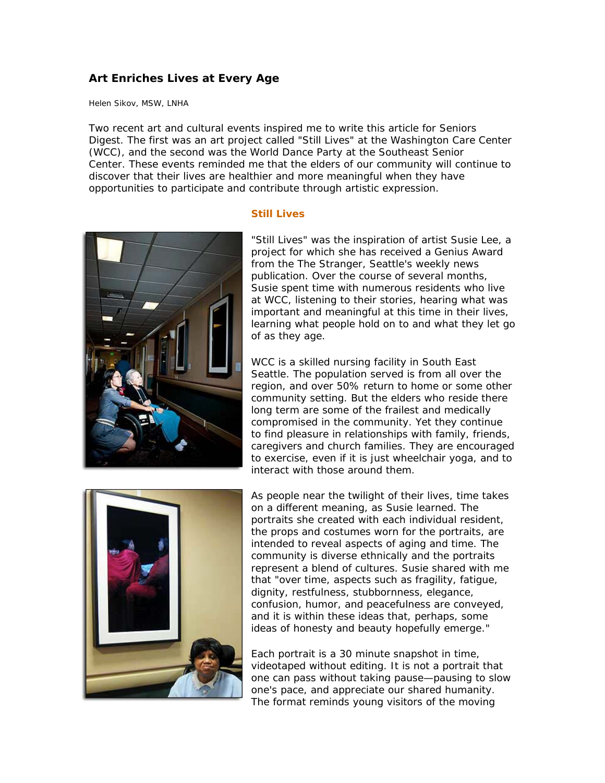## **Art Enriches Lives at Every Age**

Helen Sikov, MSW, LNHA

Two recent art and cultural events inspired me to write this article for *Seniors Digest*. The first was an art project called "Still Lives" at the Washington Care Center (WCC), and the second was the World Dance Party at the Southeast Senior Center. These events reminded me that the elders of our community will continue to discover that their lives are healthier and more meaningful when they have opportunities to participate and contribute through artistic expression.



## **Still Lives**

"Still Lives" was the inspiration of artist Susie Lee, a project for which she has received a Genius Award from the *The Stranger*, Seattle's weekly news publication. Over the course of several months, Susie spent time with numerous residents who live at WCC, listening to their stories, hearing what was important and meaningful at this time in their lives, learning what people hold on to and what they let go of as they age.

WCC is a skilled nursing facility in South East Seattle. The population served is from all over the region, and over 50% return to home or some other community setting. But the elders who reside there long term are some of the frailest and medically compromised in the community. Yet they continue to find pleasure in relationships with family, friends, caregivers and church families. They are encouraged to exercise, even if it is just wheelchair yoga, and to interact with those around them.



As people near the twilight of their lives, time takes on a different meaning, as Susie learned. The portraits she created with each individual resident, the props and costumes worn for the portraits, are intended to reveal aspects of aging and time. The community is diverse ethnically and the portraits represent a blend of cultures. Susie shared with me that "over time, aspects such as fragility, fatigue, dignity, restfulness, stubbornness, elegance, confusion, humor, and peacefulness are conveyed, and it is within these ideas that, perhaps, some ideas of honesty and beauty hopefully emerge."

Each portrait is a 30 minute snapshot in time, videotaped without editing. It is not a portrait that one can pass without taking pause—pausing to slow one's pace, and appreciate our shared humanity. The format reminds young visitors of the moving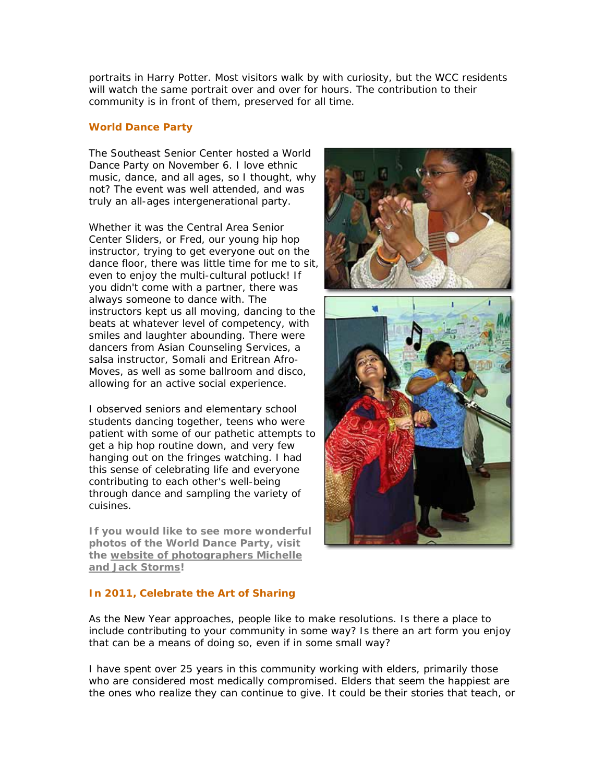portraits in *Harry Potter*. Most visitors walk by with curiosity, but the WCC residents will watch the same portrait over and over for hours. The contribution to their community is in front of them, preserved for all time.

## **World Dance Party**

The Southeast Senior Center hosted a World Dance Party on November 6. I love ethnic music, dance, and all ages, so I thought, why not? The event was well attended, and was truly an all-ages intergenerational party.

Whether it was the Central Area Senior Center Sliders, or Fred, our young hip hop instructor, trying to get everyone out on the dance floor, there was little time for me to sit, even to enjoy the multi-cultural potluck! If you didn't come with a partner, there was always someone to dance with. The instructors kept us all moving, dancing to the beats at whatever level of competency, with smiles and laughter abounding. There were dancers from Asian Counseling Services, a salsa instructor, Somali and Eritrean Afro-Moves, as well as some ballroom and disco, allowing for an active social experience.

I observed seniors and elementary school students dancing together, teens who were patient with some of our pathetic attempts to get a hip hop routine down, and very few hanging out on the fringes watching. I had this sense of celebrating life and everyone contributing to each other's well-being through dance and sampling the variety of cuisines.

**If you would like to see more wonderful photos of the World Dance Party, visit the [website of photographers Michelle](http://www.stormsphoto.com/Events/SE-Senior-Center-World-Dance/14753107_YyPVF#1099549304_X9xWG)  [and Jack Storms](http://www.stormsphoto.com/Events/SE-Senior-Center-World-Dance/14753107_YyPVF#1099549304_X9xWG) !**



## **In 2011, Celebrate the Art of Sharing**

As the New Year approaches, people like to make resolutions. Is there a place to include contributing to your community in some way? Is there an art form you enjoy that can be a means of doing so, even if in some small way?

I have spent over 25 years in this community working with elders, primarily those who are considered most medically compromised. Elders that seem the happiest are the ones who realize they can continue to give. It could be their stories that teach, or